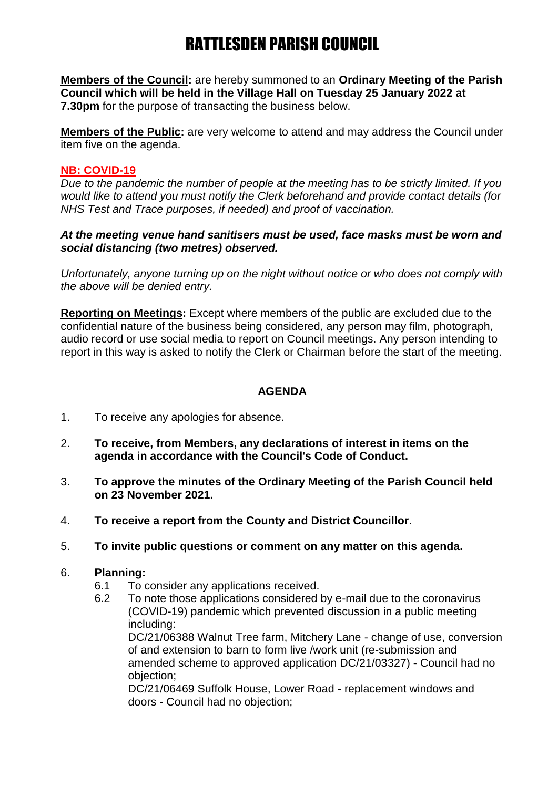## RATTLESDEN PARISH COUNCIL

**Members of the Council:** are hereby summoned to an **Ordinary Meeting of the Parish Council which will be held in the Village Hall on Tuesday 25 January 2022 at 7.30pm** for the purpose of transacting the business below.

**Members of the Public:** are very welcome to attend and may address the Council under item five on the agenda.

### **NB: COVID-19**

*Due to the pandemic the number of people at the meeting has to be strictly limited. If you would like to attend you must notify the Clerk beforehand and provide contact details (for NHS Test and Trace purposes, if needed) and proof of vaccination.*

#### *At the meeting venue hand sanitisers must be used, face masks must be worn and social distancing (two metres) observed.*

*Unfortunately, anyone turning up on the night without notice or who does not comply with the above will be denied entry.*

**Reporting on Meetings:** Except where members of the public are excluded due to the confidential nature of the business being considered, any person may film, photograph, audio record or use social media to report on Council meetings. Any person intending to report in this way is asked to notify the Clerk or Chairman before the start of the meeting.

### **AGENDA**

- 1. To receive any apologies for absence.
- 2. **To receive, from Members, any declarations of interest in items on the agenda in accordance with the Council's Code of Conduct.**
- 3. **To approve the minutes of the Ordinary Meeting of the Parish Council held on 23 November 2021.**
- 4. **To receive a report from the County and District Councillor**.
- 5. **To invite public questions or comment on any matter on this agenda.**
- 6. **Planning:**
	- 6.1 To consider any applications received.
	- 6.2 To note those applications considered by e-mail due to the coronavirus (COVID-19) pandemic which prevented discussion in a public meeting including:

DC/21/06388 Walnut Tree farm, Mitchery Lane - change of use, conversion of and extension to barn to form live /work unit (re-submission and amended scheme to approved application DC/21/03327) - Council had no objection;

DC/21/06469 Suffolk House, Lower Road - replacement windows and doors - Council had no objection;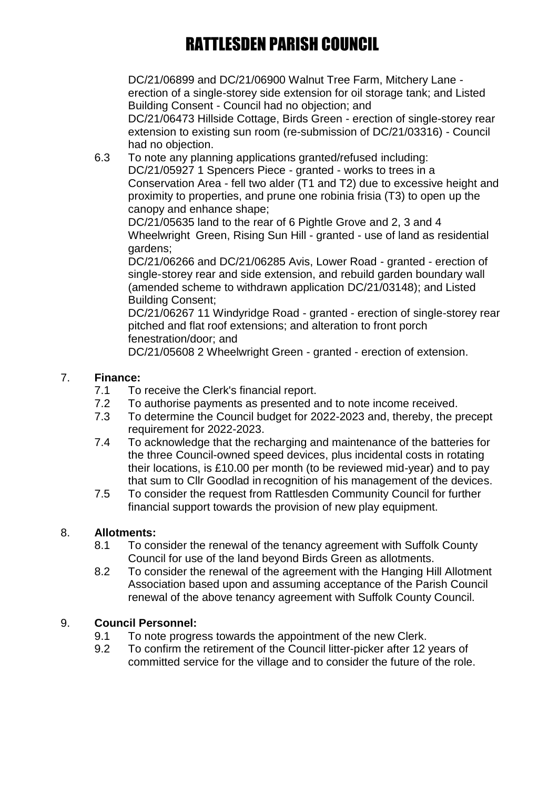# RATTLESDEN PARISH COUNCIL

DC/21/06899 and DC/21/06900 Walnut Tree Farm, Mitchery Lane erection of a single-storey side extension for oil storage tank; and Listed Building Consent - Council had no objection; and

DC/21/06473 Hillside Cottage, Birds Green - erection of single-storey rear extension to existing sun room (re-submission of DC/21/03316) - Council had no objection.

6.3 To note any planning applications granted/refused including: DC/21/05927 1 Spencers Piece - granted - works to trees in a Conservation Area - fell two alder (T1 and T2) due to excessive height and proximity to properties, and prune one robinia frisia (T3) to open up the canopy and enhance shape;

DC/21/05635 land to the rear of 6 Pightle Grove and 2, 3 and 4 Wheelwright Green, Rising Sun Hill - granted - use of land as residential gardens;

DC/21/06266 and DC/21/06285 Avis, Lower Road - granted - erection of single-storey rear and side extension, and rebuild garden boundary wall (amended scheme to withdrawn application DC/21/03148); and Listed Building Consent;

DC/21/06267 11 Windyridge Road - granted - erection of single-storey rear pitched and flat roof extensions; and alteration to front porch fenestration/door; and

DC/21/05608 2 Wheelwright Green - granted - erection of extension.

## 7. **Finance:**

- 7.1 To receive the Clerk's financial report.
- 7.2 To authorise payments as presented and to note income received.
- 7.3 To determine the Council budget for 2022-2023 and, thereby, the precept requirement for 2022-2023.
- 7.4 To acknowledge that the recharging and maintenance of the batteries for the three Council-owned speed devices, plus incidental costs in rotating their locations, is £10.00 per month (to be reviewed mid-year) and to pay that sum to Cllr Goodlad in recognition of his management of the devices.
- 7.5 To consider the request from Rattlesden Community Council for further financial support towards the provision of new play equipment.

## 8. **Allotments:**

- 8.1 To consider the renewal of the tenancy agreement with Suffolk County Council for use of the land beyond Birds Green as allotments.
- 8.2 To consider the renewal of the agreement with the Hanging Hill Allotment Association based upon and assuming acceptance of the Parish Council renewal of the above tenancy agreement with Suffolk County Council.

## 9. **Council Personnel:**

- 9.1 To note progress towards the appointment of the new Clerk.
- 9.2 To confirm the retirement of the Council litter-picker after 12 years of committed service for the village and to consider the future of the role.